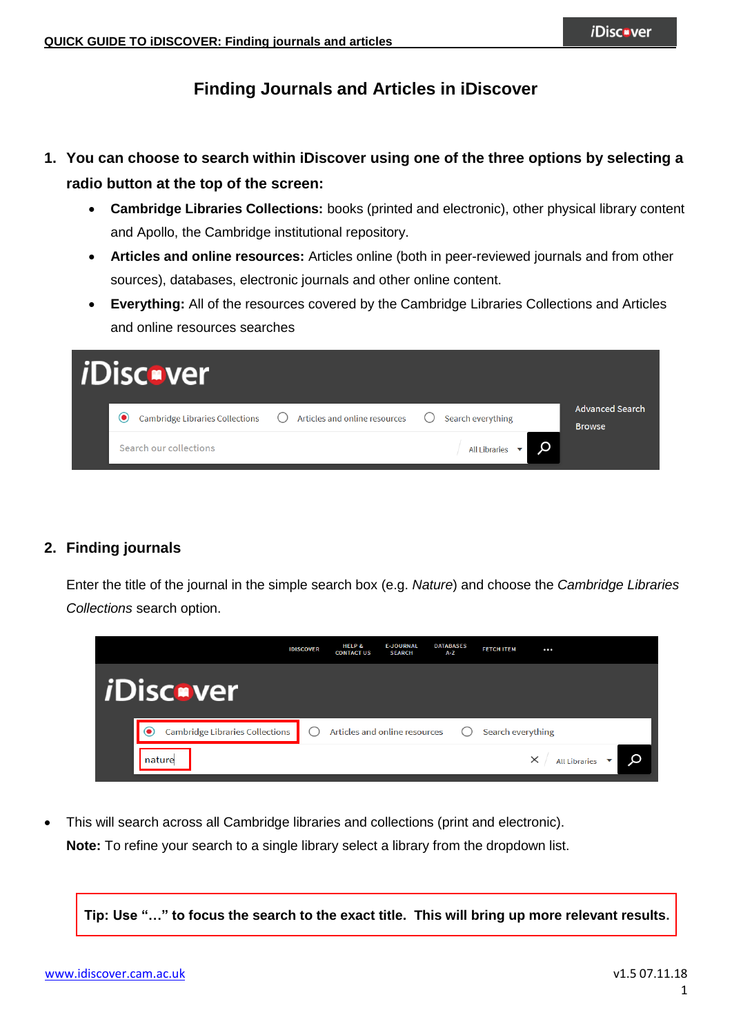# **Finding Journals and Articles in iDiscover**

- **1. You can choose to search within iDiscover using one of the three options by selecting a radio button at the top of the screen:**
	- **Cambridge Libraries Collections:** books (printed and electronic), other physical library content and Apollo, the Cambridge institutional repository.
	- **Articles and online resources:** Articles online (both in peer-reviewed journals and from other sources), databases, electronic journals and other online content.
	- **Everything:** All of the resources covered by the Cambridge Libraries Collections and Articles and online resources searches

| <i><b>iDisc•ver</b></i>                           |                                   |                                         |                                         |
|---------------------------------------------------|-----------------------------------|-----------------------------------------|-----------------------------------------|
| $\bf o$<br><b>Cambridge Libraries Collections</b> | (C) Articles and online resources | Search everything<br>( )                | <b>Advanced Search</b><br><b>Browse</b> |
| Search our collections                            |                                   | Q<br>All Libraries $\blacktriangledown$ |                                         |

#### **2. Finding journals**

Enter the title of the journal in the simple search box (e.g. *Nature*) and choose the *Cambridge Libraries Collections* search option.



 This will search across all Cambridge libraries and collections (print and electronic). **Note:** To refine your search to a single library select a library from the dropdown list.

**Tip: Use "…" to focus the search to the exact title. This will bring up more relevant results.**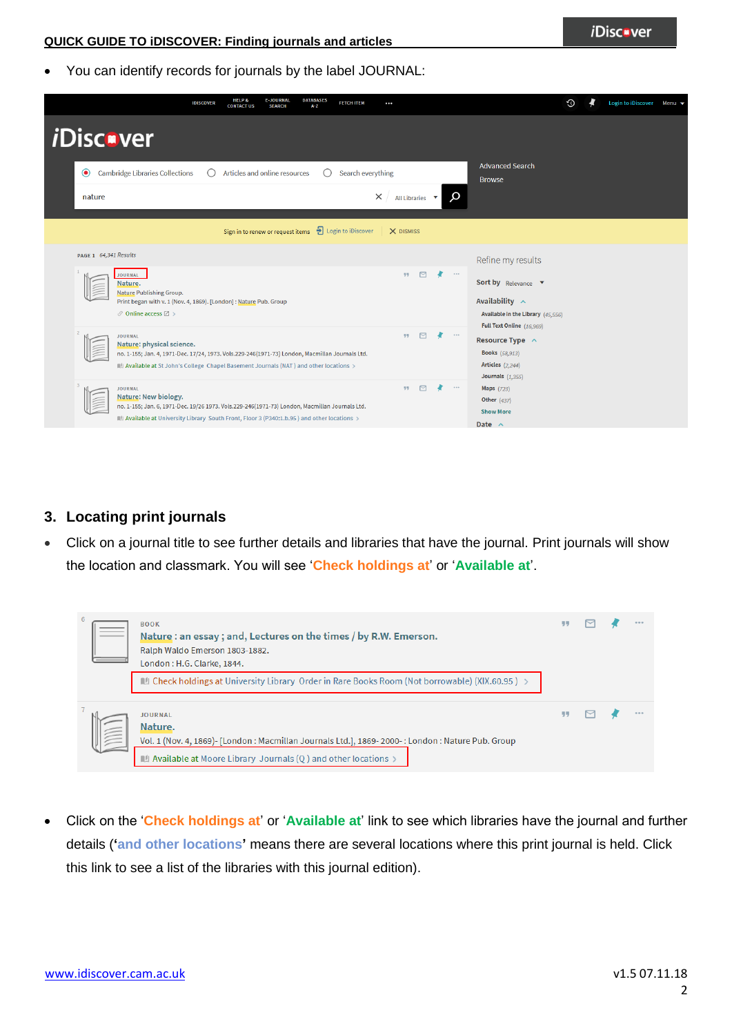You can identify records for journals by the label JOURNAL:

|                                                                                                                                                                                                                                                               | <b>IDISCOVER</b>                                                  | <b>HELP &amp;</b><br><b>CONTACT US</b> | <b>E-JOURNAL</b><br><b>SEARCH</b> | <b>DATABASES</b><br>A-Z | <b>FETCH ITEM</b>                                                         | $\cdots$  |                                    |               |                                                                                                            | ⊙ | Login to iDiscover Menu $\blacktriangledown$ |  |
|---------------------------------------------------------------------------------------------------------------------------------------------------------------------------------------------------------------------------------------------------------------|-------------------------------------------------------------------|----------------------------------------|-----------------------------------|-------------------------|---------------------------------------------------------------------------|-----------|------------------------------------|---------------|------------------------------------------------------------------------------------------------------------|---|----------------------------------------------|--|
| <i><b>iDiscover</b></i>                                                                                                                                                                                                                                       |                                                                   |                                        |                                   |                         |                                                                           |           |                                    |               |                                                                                                            |   |                                              |  |
| <b>Cambridge Libraries Collections</b><br>$\bullet$                                                                                                                                                                                                           |                                                                   | Articles and online resources          |                                   |                         | Search everything                                                         |           |                                    |               | <b>Advanced Search</b><br><b>Browse</b>                                                                    |   |                                              |  |
| nature                                                                                                                                                                                                                                                        |                                                                   |                                        |                                   |                         |                                                                           | $\times$  | All Libraries $\blacktriangledown$ | $\Omega$      |                                                                                                            |   |                                              |  |
|                                                                                                                                                                                                                                                               |                                                                   |                                        |                                   |                         | Sign in to renew or request items $\frac{1}{\sqrt{2}}$ Login to iDiscover | X DISMISS |                                    |               |                                                                                                            |   |                                              |  |
| PAGE 1 64,341 Results                                                                                                                                                                                                                                         |                                                                   |                                        |                                   |                         |                                                                           |           |                                    |               | Refine my results                                                                                          |   |                                              |  |
| <b>JOURNAL</b><br>Nature.<br><b>Nature Publishing Group.</b><br>$\mathcal O$ Online access $\boxtimes$ >                                                                                                                                                      | Print began with v. 1 (Nov. 4, 1869). [London]: Nature Pub. Group |                                        |                                   |                         |                                                                           |           |                                    | ×<br>$\cdots$ | Sort by Relevance<br>Availability $\sim$<br>Available in the Library (45,556)<br>Full Text Online (16,969) |   |                                              |  |
| <b>JOURNAL</b><br>Nature: physical science.<br>no. 1-155; Jan. 4, 1971-Dec. 17/24, 1973. Vols.229-246(1971-73) London, Macmillan Journals Ltd.<br>Available at St John's College Chapel Basement Journals (NAT ) and other locations >                        |                                                                   |                                        |                                   |                         |                                                                           | 99        | $\triangleright$                   |               | Resource Type ^<br><b>Books</b> (58,913)<br><b>Articles</b> (2,244)<br>Journals $(1,355)$                  |   |                                              |  |
| <b>JOURNAL</b><br>Nature: New biology.<br>no. 1-155; Jan. 6, 1971-Dec. 19/26 1973. Vols.229-246(1971-73) London, Macmillan Journals Ltd.<br>$\mathbb{H}$ Available at University Library South Front, Floor 3 (P340:1.b.95) and other locations $\rightarrow$ |                                                                   |                                        |                                   |                         |                                                                           | 99        | $\triangleright$                   | $\cdots$      | <b>Maps</b> (723)<br><b>Other</b> (437)<br><b>Show More</b><br>Date $\wedge$                               |   |                                              |  |

# **3. Locating print journals**

 Click on a journal title to see further details and libraries that have the journal. Print journals will show the location and classmark. You will see '**Check holdings at**' or '**Available at**'.

| 6                  | <b>BOOK</b><br>Nature : an essay ; and, Lectures on the times / by R.W. Emerson.<br>Ralph Waldo Emerson 1803-1882.<br>London: H.G. Clarke, 1844.                                                                                                                                                                                |    |  |  |
|--------------------|---------------------------------------------------------------------------------------------------------------------------------------------------------------------------------------------------------------------------------------------------------------------------------------------------------------------------------|----|--|--|
| $\parallel \equiv$ | $\blacksquare$ Check holdings at University Library Order in Rare Books Room (Not borrowable) (XIX.60.95 ) $>$<br><b>JOURNAL</b><br>Nature.<br>Vol. 1 (Nov. 4, 1869)- [London: Macmillan Journals Ltd.], 1869-2000-: London: Nature Pub. Group<br>$\blacksquare$ Available at Moore Library Journals (Q ) and other locations > | 99 |  |  |

 Click on the '**Check holdings at**' or '**Available at**' link to see which libraries have the journal and further details (**'and other locations'** means there are several locations where this print journal is held. Click this link to see a list of the libraries with this journal edition).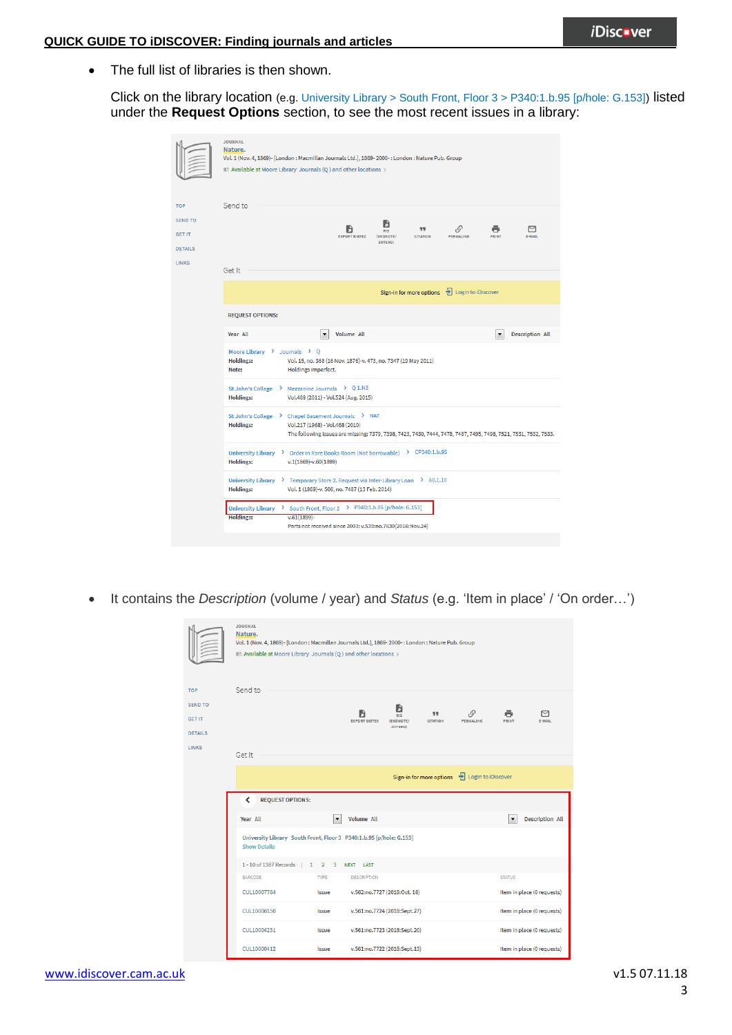• The full list of libraries is then shown.

Click on the library location (e.g. University Library > South Front, Floor 3 > P340:1.b.95 [p/hole: G.153]) listed under the **Request Options** section, to see the most recent issues in a library:

|                                                        | <b>JOURNAL</b><br>Nature.<br>Vol. 1 (Nov. 4, 1869)- [London : Macmillan Journals Ltd.], 1869-2000- : London : Nature Pub. Group<br>IL Available at Moore Library Journals (Q ) and other locations >                         |  |  |  |  |  |  |  |  |  |  |
|--------------------------------------------------------|------------------------------------------------------------------------------------------------------------------------------------------------------------------------------------------------------------------------------|--|--|--|--|--|--|--|--|--|--|
| OP                                                     | Send to                                                                                                                                                                                                                      |  |  |  |  |  |  |  |  |  |  |
| <b>END TO</b><br>ET IT<br><b>ETAILS</b><br><b>INKS</b> | H<br>$\mathcal{O}$<br>罓<br>99<br>ь<br>DIS<br><b>EXPORT BIBTEX</b><br>E-MAIL<br>(ENDNOTE/<br><b>CITATION</b><br><b>PERMALINK</b><br>PRINT<br><b>ZOTERO)</b>                                                                   |  |  |  |  |  |  |  |  |  |  |
|                                                        | Get It                                                                                                                                                                                                                       |  |  |  |  |  |  |  |  |  |  |
|                                                        | Sign-in for more options $\Box$ Login to iDiscover                                                                                                                                                                           |  |  |  |  |  |  |  |  |  |  |
|                                                        | <b>REQUEST OPTIONS:</b>                                                                                                                                                                                                      |  |  |  |  |  |  |  |  |  |  |
|                                                        | Year All<br><b>Volume All</b><br><b>Description All</b><br>$\blacktriangledown$<br>$\overline{\phantom{a}}$                                                                                                                  |  |  |  |  |  |  |  |  |  |  |
|                                                        | Moore Library > Journals > Q<br><b>Holdings:</b><br>Vol. 15, no. 368 (16 Nov. 1876)-v. 473, no. 7347 (19 May 2011)<br>Holdings imperfect.<br>Note:                                                                           |  |  |  |  |  |  |  |  |  |  |
|                                                        | St John's College > Mezzanine Journals > Q 1.N3<br><b>Holdings:</b><br>Vol.469 (2011) - Vol.524 (Aug. 2015)                                                                                                                  |  |  |  |  |  |  |  |  |  |  |
|                                                        | St John's College > Chapel Basement Journals > NAT<br><b>Holdings:</b><br>Vol.217 (1968) - Vol.468 (2010)<br>The following issues are missing: 7379, 7398, 7423, 7430, 7444, 7478, 7487, 7495, 7498, 7521, 7531, 7532, 7533. |  |  |  |  |  |  |  |  |  |  |
|                                                        | University Library > Order in Rare Books Room (Not borrowable) > CP340:1.b.95<br><b>Holdings:</b><br>$v.1(1869)-v.60(1899)$                                                                                                  |  |  |  |  |  |  |  |  |  |  |
|                                                        | University Library > Temporary Store 2. Request via Inter-Library Loan > A0.1.10<br><b>Holdings:</b><br>Vol. 1 (1869)-v. 506, no. 7487 (13 Feb. 2014)                                                                        |  |  |  |  |  |  |  |  |  |  |
|                                                        | University Library > South Front, Floor 3 > P340:1.b.95 [p/hole: G.153]<br><b>Holdings:</b><br>$v.61(1899) -$<br>Parts not received since 2003: v.539:no.7630(2016:Nov.24)                                                   |  |  |  |  |  |  |  |  |  |  |

It contains the *Description* (volume / year) and *Status* (e.g. 'Item in place' / 'On order…')

|                                                                 | <b>JOURNAL</b><br>Nature.<br>Vol. 1 (Nov. 4, 1869)- [London : Macmillan Journals Ltd.], 1869-2000- : London : Nature Pub. Group<br>ILL Available at Moore Library Journals (Q) and other locations > |                       |                                                                                                                               |                                                          |  |  |  |  |  |  |  |
|-----------------------------------------------------------------|------------------------------------------------------------------------------------------------------------------------------------------------------------------------------------------------------|-----------------------|-------------------------------------------------------------------------------------------------------------------------------|----------------------------------------------------------|--|--|--|--|--|--|--|
| <b>TOP</b><br><b>SEND TO</b><br><b>GET IT</b><br><b>DETAILS</b> | Send to                                                                                                                                                                                              |                       | ĥ<br>$\mathcal{O}$<br>99<br><b>RIS</b><br><b>EXPORT BIBTEX</b><br><b>CITATION</b><br>PERMALINK<br>(ENDNOTE/<br><b>ZOTERO)</b> | 罓<br>PRINT<br>E-MAIL                                     |  |  |  |  |  |  |  |
| <b>LINKS</b>                                                    | Get It<br>+ Login to iDiscover<br>Sign-in for more options<br>≺<br><b>REQUEST OPTIONS:</b>                                                                                                           |                       |                                                                                                                               |                                                          |  |  |  |  |  |  |  |
|                                                                 | <b>Volume All</b><br>Year All<br>$\blacktriangledown$<br>$\overline{\phantom{0}}$<br>University Library South Front, Floor 3 P340:1.b.95 [p/hole: G.153]                                             |                       |                                                                                                                               |                                                          |  |  |  |  |  |  |  |
|                                                                 | <b>Show Details</b><br>1-10 of 1387 Records   1 2 3 NEXT LAST<br><b>BARCODE</b>                                                                                                                      | <b>STATUS</b>         |                                                                                                                               |                                                          |  |  |  |  |  |  |  |
|                                                                 | CUL10007764                                                                                                                                                                                          | Issue                 | v.562:no.7727 (2018:Oct. 18)                                                                                                  | Item in place (0 requests)                               |  |  |  |  |  |  |  |
|                                                                 | CUL10006150<br>CUL10004251                                                                                                                                                                           | <b>Issue</b><br>Issue | v.561:no.7724 (2018:Sept.27)<br>v.561:no.7723 (2018:Sept.20)                                                                  | Item in place (0 requests)<br>Item in place (0 requests) |  |  |  |  |  |  |  |
|                                                                 | CUL10000412                                                                                                                                                                                          | <b>Issue</b>          | v.561:no.7722 (2018:Sept.13)                                                                                                  | Item in place (0 requests)                               |  |  |  |  |  |  |  |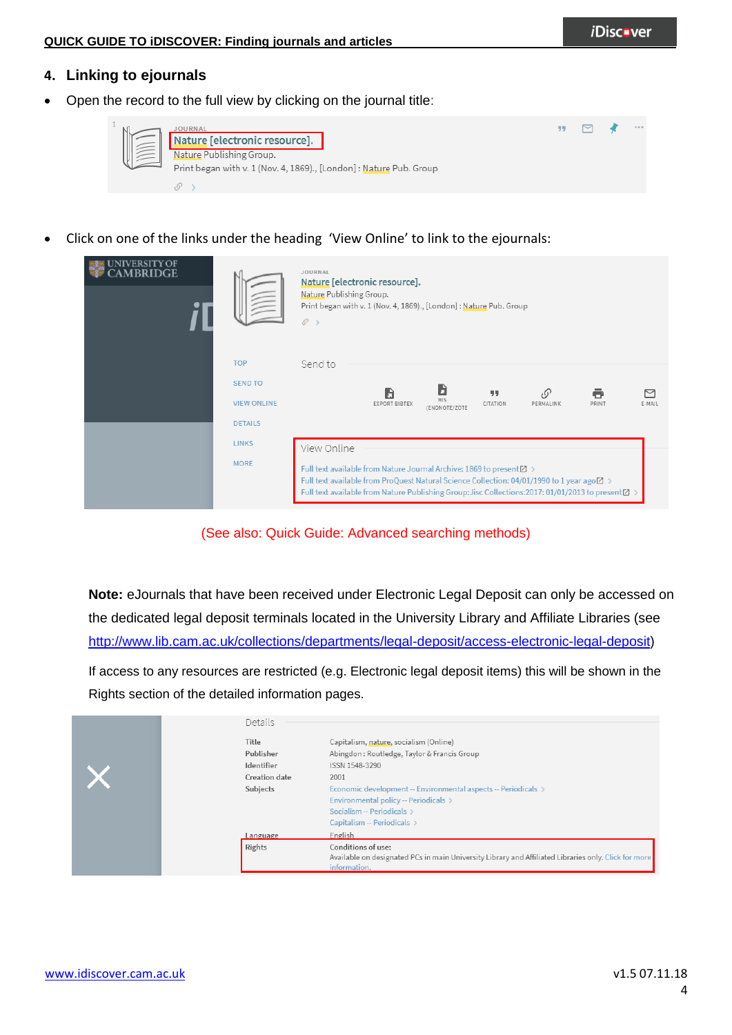### **4. Linking to ejournals**

Open the record to the full view by clicking on the journal title:



Click on one of the links under the heading 'View Online' to link to the ejournals:

|                    | JOURNAL<br>Nature [electronic resource].<br>Nature Publishing Group.<br>Print began with v. 1 (Nov. 4, 1869)., [London] : Nature Pub. Group<br>$\mathcal{S} \rightarrow$                                                                                                     |  |  |  |  |  |  |  |  |  |
|--------------------|------------------------------------------------------------------------------------------------------------------------------------------------------------------------------------------------------------------------------------------------------------------------------|--|--|--|--|--|--|--|--|--|
| <b>TOP</b>         | Send to                                                                                                                                                                                                                                                                      |  |  |  |  |  |  |  |  |  |
| <b>SEND TO</b>     | B<br>G<br>77<br>- 62<br>$\scriptstyle\sim$                                                                                                                                                                                                                                   |  |  |  |  |  |  |  |  |  |
| <b>VIEW ONLINE</b> | <b>RIS</b><br>EXPORT BIBTEX<br>CITATION<br>PERMALINK<br>PRINT<br>E-MAIL<br>(ENDNOTE/ZOTE)                                                                                                                                                                                    |  |  |  |  |  |  |  |  |  |
| <b>DETAILS</b>     |                                                                                                                                                                                                                                                                              |  |  |  |  |  |  |  |  |  |
| <b>LINKS</b>       |                                                                                                                                                                                                                                                                              |  |  |  |  |  |  |  |  |  |
|                    | View Online                                                                                                                                                                                                                                                                  |  |  |  |  |  |  |  |  |  |
| <b>MORE</b>        | Full text available from Nature Journal Archive: 1869 to present [2] ><br>Full text available from ProQuest Natural Science Collection: 04/01/1990 to 1 year ago $Z >$<br>Full text available from Nature Publishing Group: Jisc Collections: 2017: 01/01/2013 to present⊠ > |  |  |  |  |  |  |  |  |  |

(See also: Quick Guide: Advanced searching methods)

**Note:** eJournals that have been received under Electronic Legal Deposit can only be accessed on the dedicated legal deposit terminals located in the University Library and Affiliate Libraries (see [http://www.lib.cam.ac.uk/collections/departments/legal-deposit/access-electronic-legal-deposit\)](http://www.lib.cam.ac.uk/collections/departments/legal-deposit/access-electronic-legal-deposit)

If access to any resources are restricted (e.g. Electronic legal deposit items) this will be shown in the Rights section of the detailed information pages.

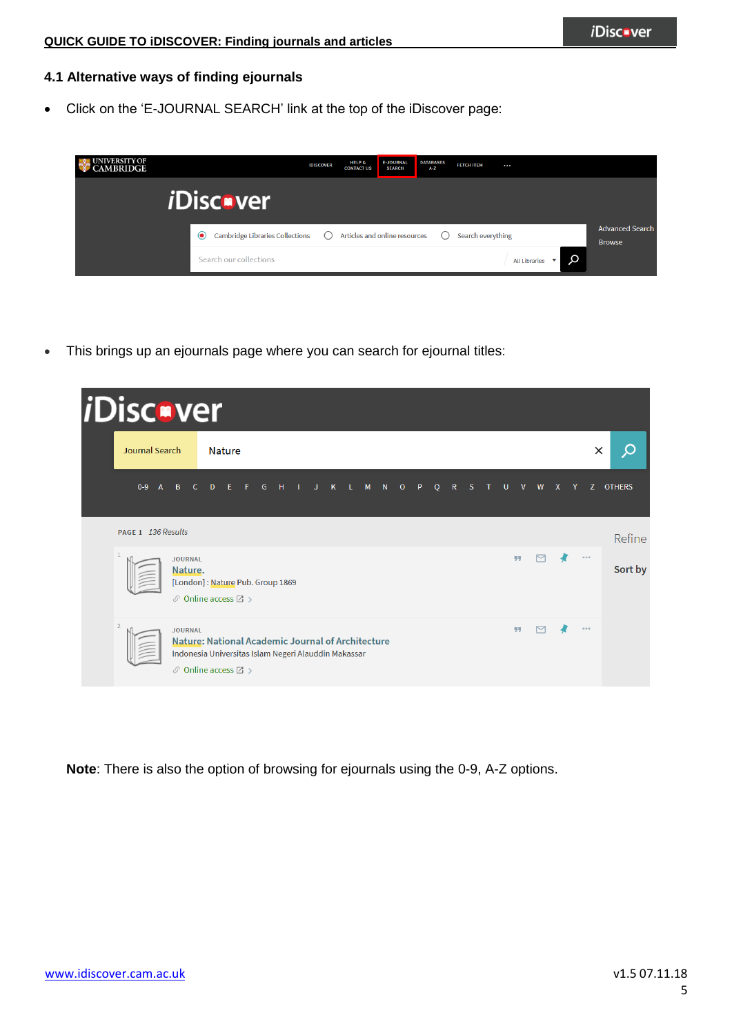#### **4.1 Alternative ways of finding ejournals**

Click on the 'E-JOURNAL SEARCH' link at the top of the iDiscover page:



This brings up an ejournals page where you can search for ejournal titles:

| <i>i</i> Discover                                                                                               |                                |                                                                                                                                                              |                           |  |             |         |  |         |         |                         |              |         |   |              |   |              |          |   |          |
|-----------------------------------------------------------------------------------------------------------------|--------------------------------|--------------------------------------------------------------------------------------------------------------------------------------------------------------|---------------------------|--|-------------|---------|--|---------|---------|-------------------------|--------------|---------|---|--------------|---|--------------|----------|---|----------|
| Journal Search                                                                                                  |                                | <b>Nature</b>                                                                                                                                                |                           |  |             |         |  |         |         |                         |              |         |   |              |   |              |          | × | O        |
| $0-9$<br>$\overline{A}$                                                                                         | $\overline{B}$<br>$\mathsf{C}$ | E<br>$\mathbf{D}$                                                                                                                                            | $\mathsf{G}$<br>$\bullet$ |  | $H = I = J$ | $K$ $L$ |  | $M$ $N$ | $\circ$ | $\mathsf{P}$<br>$\circ$ | $\mathsf{R}$ | S       | U | $\mathsf{v}$ | W | $\mathbf{x}$ | Y        |   | Z OTHERS |
| PAGE 1 136 Results                                                                                              |                                |                                                                                                                                                              |                           |  |             |         |  |         |         |                         |              |         |   |              |   |              |          |   | Refine   |
| 99<br><b>JOURNAL</b><br>Nature.<br>[London]: Nature Pub. Group 1869<br>$\mathcal O$ Online access $\boxtimes$ > |                                |                                                                                                                                                              |                           |  |             |         |  |         |         | $\cdots$                |              | Sort by |   |              |   |              |          |   |          |
| $\overline{2}$                                                                                                  | <b>JOURNAL</b>                 | <b>Nature: National Academic Journal of Architecture</b><br>Indonesia Universitas Islam Negeri Alauddin Makassar<br>$\mathcal O$ Online access $\boxtimes$ > |                           |  |             |         |  |         |         |                         |              |         |   | 55           |   |              | $\cdots$ |   |          |

**Note**: There is also the option of browsing for ejournals using the 0-9, A-Z options.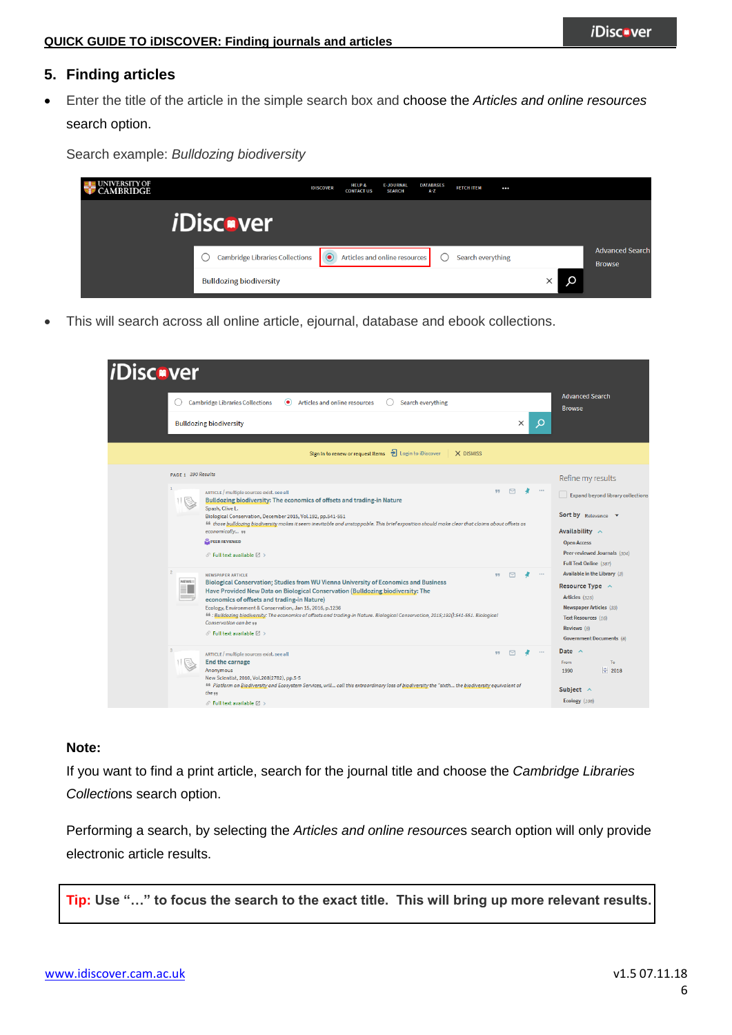Search example: *Bulldozing biodiversity*

## **5. Finding articles**

 Enter the title of the article in the simple search box and choose the *Articles and online resources* search option.

**EXAMPLE UNIVERSITY OF** FETCH ITEM INISCOVER HELP &<br>CONTACT US E-JOURNAL<br>SEARCH DATABASES<br>A-Z  $\dddotsc$ *i*Discver Advanced Search  $\bigcirc$  Cambridge Libraries Collections  $\bigcirc$  Articles and online resources  $\bigcirc$  Search everything **Browse**  $\boldsymbol{\mathsf{Q}}$ **Bulldozing biodiversity**  $\times$ 

This will search across all online article, ejournal, database and ebook collections.

| <i><b>iDiscover</b></i> |                                                                                                                                                                                                                                                                                                                                                                                                                                                                                                                                               |          |                                                                                                                                                                       |  |
|-------------------------|-----------------------------------------------------------------------------------------------------------------------------------------------------------------------------------------------------------------------------------------------------------------------------------------------------------------------------------------------------------------------------------------------------------------------------------------------------------------------------------------------------------------------------------------------|----------|-----------------------------------------------------------------------------------------------------------------------------------------------------------------------|--|
|                         | <b>Cambridge Libraries Collections</b><br>Articles and online resources<br>Search everything<br>$\left( \bullet \right)$                                                                                                                                                                                                                                                                                                                                                                                                                      |          | <b>Advanced Search</b><br><b>Browse</b>                                                                                                                               |  |
|                         | $\times$<br><b>Bulldozing biodiversity</b>                                                                                                                                                                                                                                                                                                                                                                                                                                                                                                    | Q        |                                                                                                                                                                       |  |
|                         | + Login to iDiscover<br>X DISMISS<br>Sign in to renew or request items                                                                                                                                                                                                                                                                                                                                                                                                                                                                        |          |                                                                                                                                                                       |  |
|                         | PAGE 1 390 Results<br>$\triangleright$<br>99                                                                                                                                                                                                                                                                                                                                                                                                                                                                                                  | $-0.01$  | Refine my results                                                                                                                                                     |  |
|                         | ARTICLE / multiple sources exist. see all<br>Bulldozing biodiversity: The economics of offsets and trading-in Nature<br>Spash, Clive L.<br>Biological Conservation, December 2015, Vol.192, pp.541-551<br><sup>66</sup> those bulldozing biodiversity makes it seem inevitable and unstoppable. This brief exposition should make clear that claims about offsets as<br>economically 11<br>PEER REVIEWED<br>$\mathcal{O}$ Full text available $\boxtimes$ >                                                                                   |          | Expand beyond library collections<br>Sort by Relevance<br>Availability $\wedge$<br><b>Open Access</b><br>Peer-reviewed Journals (304)<br>Full Text Online (387)       |  |
|                         | <b>NEWSPAPER ARTICLE</b><br>99<br>NEWS:<br>Biological Conservation; Studies from WU Vienna University of Economics and Business<br>Have Provided New Data on Biological Conservation (Bulldozing biodiversity: The<br>economics of offsets and trading-in Nature)<br>Ecology, Environment & Conservation, Jan 15, 2016, p.1236<br>66 : Bulldozing biodiversity: The economics of offsets and trading-in Nature. Biological Conservation, 2015;192():541-551. Biological<br>Conservation can be yy<br>$\mathcal O$ Full text available $[2]$ > | $\cdots$ | Available in the Library (3)<br>Resource Type $\sim$<br>Articles (325)<br>Newspaper Articles (33)<br>Text Resources (16)<br>Reviews $(8)$<br>Government Documents (8) |  |
|                         | 罓<br>99<br>ARTICLE / multiple sources exist. see all<br><b>End the carnage</b><br>Anonymous<br>New Scientist, 2010, Vol.208(2782), pp.5-5<br>66 Platform on Biodiversity and Ecosystem Services, will call this extraordinary loss of biodiversity the "sixth the biodiversity equivalent of<br>the uu<br>$\mathcal{O}$ Full text available $\boxtimes$ >                                                                                                                                                                                     | $\cdots$ | Date $\land$<br>To<br>From<br>$\div$ 2018<br>1990<br>Subject $\wedge$<br>Ecology (108)                                                                                |  |

#### **Note:**

If you want to find a print article, search for the journal title and choose the *Cambridge Libraries Collectio*ns search option.

Performing a search, by selecting the *Articles and online resource*s search option will only provide electronic article results.

**Tip: Use "…" to focus the search to the exact title. This will bring up more relevant results.**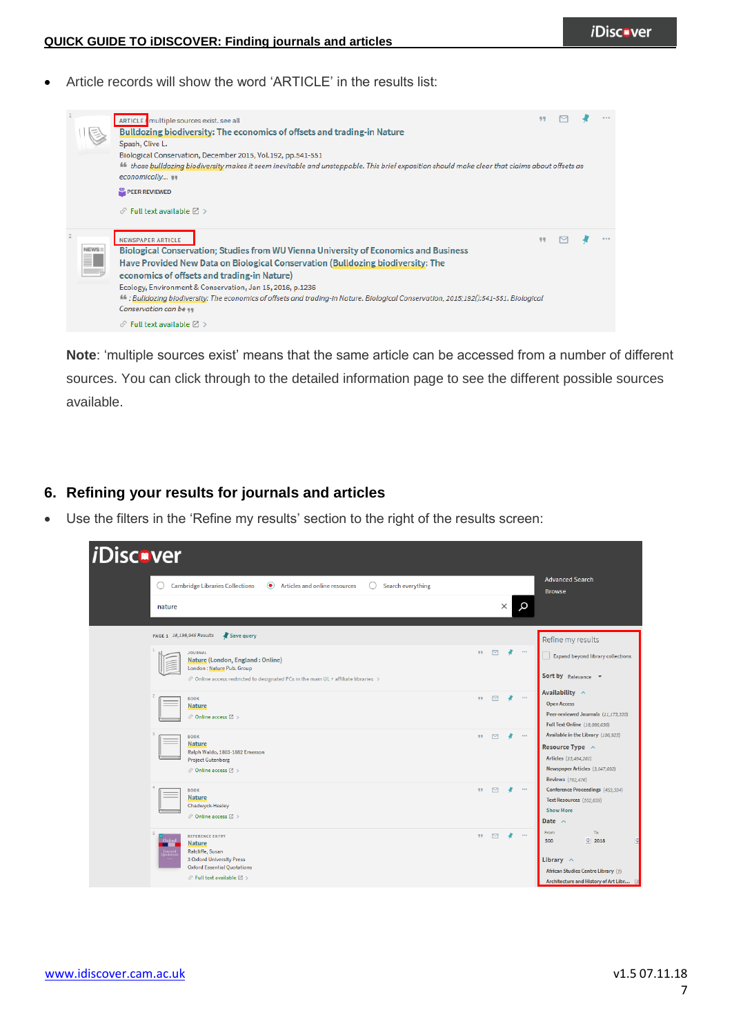Article records will show the word 'ARTICLE' in the results list:



**Note**: 'multiple sources exist' means that the same article can be accessed from a number of different sources. You can click through to the detailed information page to see the different possible sources available.

## **6. Refining your results for journals and articles**

Use the filters in the 'Refine my results' section to the right of the results screen: